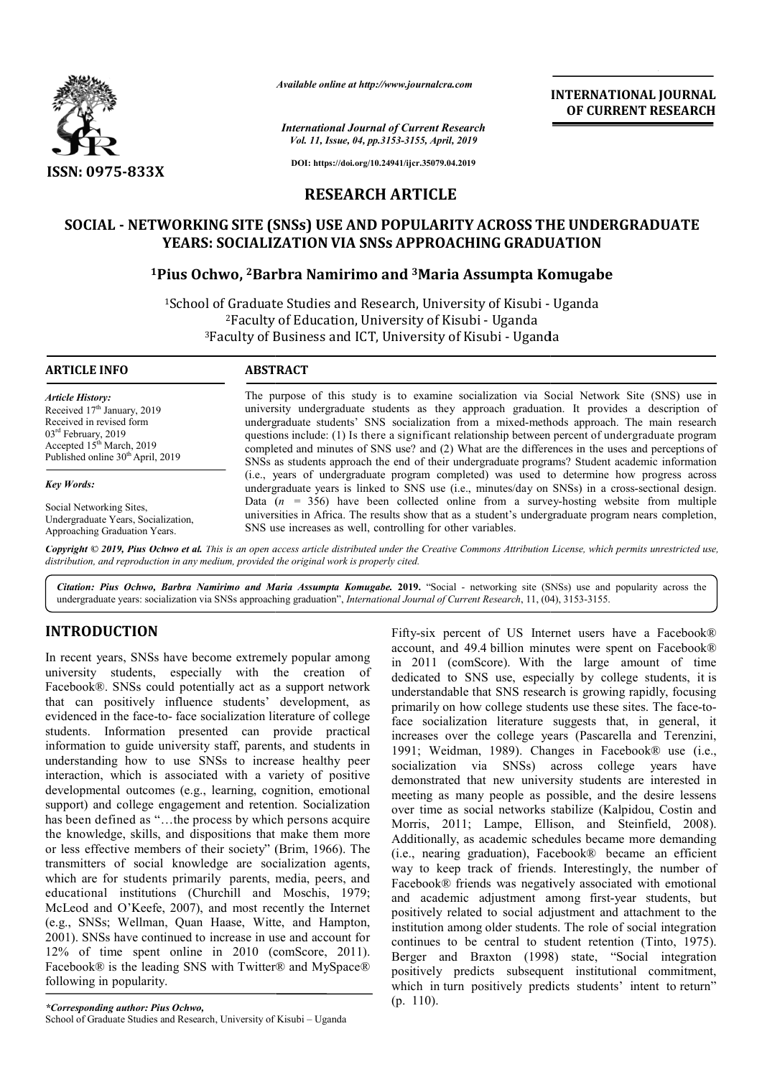

*Available online at http://www.journalcra.com*

*International Journal of Current Research Vol. 11, Issue, 04, pp.3153-3155, April, 2019*

**INTERNATIONAL JOURNAL OF CURRENT RESEARCH**

**DOI: https://doi.org/10.24941/ijcr.35079.04.2019**

# **RESEARCH ARTICLE**

## $\tt SOCIAL$  - <code>NETWORKING</code> SITE (SNSs) USE AND POPULARITY ACROSS THE UNDERGRADUATE **YEARS: SOCIALIZ ZATION VIA SNSs APPROACHING GRADU DUATION**

# <sup>1</sup>Pius Ochwo, <sup>2</sup>Barbra Namirimo and <sup>3</sup>Maria Assumpta Komugabe

<sup>1</sup>School of Graduate Studies and Research, University of Kisubi - Uganda <sup>2</sup>Faculty of Education, University of Kisubi - Uganda <sup>3</sup>Faculty of Business and ICT, University of Kisubi - Uganda

**ARTICLE INFO ABSTRACT**

*Article History:* Received 17<sup>th</sup> January, 2019 Received in revised form 03<sup>rd</sup> February, 2019 Accepted  $15^{th}$  March, 2019 Published online 30<sup>th</sup> April, 2019

*Key Words:*

Social Networking Sites, Undergraduate Years, Socialization, Approaching Graduation Years.

The purpose of this study is to examine socialization via Social Network Site (SNS) use in university undergraduate students as they approach graduation. It provides a description of undergraduate students' SNS socialization from a mixed-methods approach. The main research questions include: (1) Is there a significant relationship between percent of undergraduate program completed and minutes of SNS use? and (2) What are the differences in the uses and perceptions of SNSs as students approach the end of their undergraduate programs? Student academic information (i.e., years of undergraduate program completed) was used to determine how progress across underg graduate years is linked to SNS use (i.e., minutes/day on SNSs) in a cross-sectional design. Data  $(n = 356)$  have been collected online from a survey-hosting website from multiple universities in Africa. The results show that as a student's undergraduate program nears completion, SNS use increases as well, controlling for other variables.

Copyright © 2019, Pius Ochwo et al. This is an open access article distributed under the Creative Commons Attribution License, which permits unrestricted use, *distribution, and reproduction in any medium, provided the original work is properly cited.*

Citation: Pius Ochwo, Barbra Namirimo and Maria Assumpta Komugabe. 2019. "Social - networking site (SNSs) use and popularity across the undergraduate years: socialization via SNSs approaching graduation", *International Journal of Current Research*, 11, (04), 3153-3155.

# **INTRODUCTION**

In recent years, SNSs have become extremely popular among university students, especially with the creation of Facebook®. SNSs could potentially act as a support network that can positively influence students' development, as evidenced in the face-to- face socialization literature of college students. Information presented can p provide practical information to guide university staff, parents, and students in understanding how to use SNSs to increase healthy peer interaction, which is associated with a variety of positive developmental outcomes (e.g., learning, cognition, emotional support) and college engagement and retention. Socialization has been defined as "...the process by which persons acquire the knowledge, skills, and dispositions that make them more or less effective members of their society" ( (Brim, 1966). The transmitters of social knowledge are socialization agents, which are for students primarily parents, media, peers, and educational institutions (Churchill and Moschis, 1979; McLeod and O'Keefe, 2007), and most recently the Internet (e.g., SNSs; Wellman, Quan Haase, Witte, and Hampton, 2001). SNSs have continued to increase in use and account for 12% of time spent online in 2010 (c (comScore, 2011). Facebook® is the leading SNS with Twitter® and MySpace® following in popularity.

Fifty-six percent of US Internet users have a Facebook® account, and 49.4 billion minutes were spent on Facebook® in 2011 (comScore). With the large amount of time dedicated to SNS use, especially by college students, it is understandable that SNS research is growing rapidly, focusing primarily on how college students use these sites. The face-toface socialization literature suggests that, in general, it increases over the college years (Pascarella and Terenzini, 1991; Weidman, 1989). Changes in Facebook® use (i.e., socialization via SNSs) across college years have demonstrated that new university students are interested in meeting as many people as possible, and the desire lessens over time as social networks stabilize (Kalpidou, Costin and Morris, 2011; Lampe, Ellison, and Steinfield, 2008). Additionally, as academic schedules became more demanding (i.e., nearing graduation), Fac cebook® became an efficient way to keep track of friends. Interestingly, the number of Facebook® friends was negatively associated with emotional and academic adjustment a among first-year students, but positively related to social adjustment and attachment to the institution among older students. The role of social integration continues to be central to student retention (Tinto, 1975). Berger and Braxton (1998) state, "Social integration positively predicts subsequent institutional commitment, which in turn positively predicts students' intent to return" (p. 110).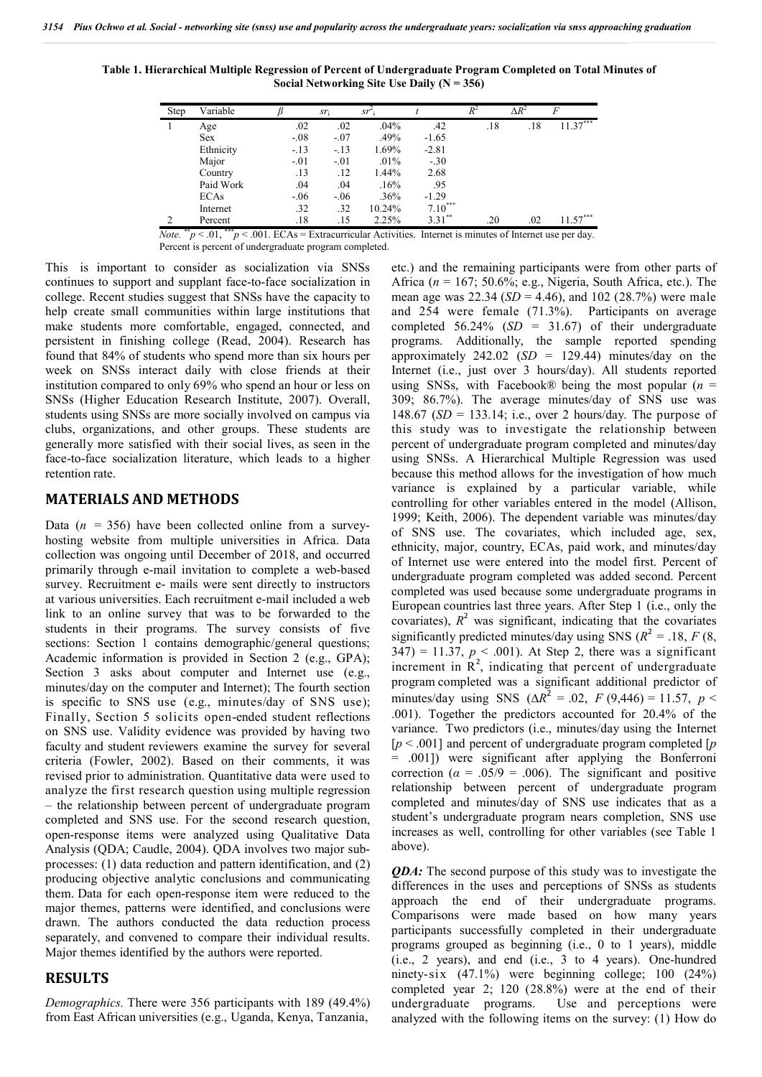**Table 1. Hierarchical Multiple Regression of Percent of Undergraduate Program Completed on Total Minutes of Social Networking Site Use Daily (N = 356)**

| Step | Variable    |         | sr <sub>i</sub> | sr     |           | $\overline{R^2}$ | $\Delta R^2$ | $\overline{F}$ |
|------|-------------|---------|-----------------|--------|-----------|------------------|--------------|----------------|
|      | Age         | .02     | .02             | .04%   | .42       | .18              | .18          | $11.37***$     |
|      | <b>Sex</b>  | $-0.08$ | $-.07$          | .49%   | $-1.65$   |                  |              |                |
|      | Ethnicity   | $-13$   | $-.13$          | 1.69%  | $-2.81$   |                  |              |                |
|      | Major       | $-.01$  | $-.01$          | .01%   | $-.30$    |                  |              |                |
|      | Country     | .13     | .12             | 1.44%  | 2.68      |                  |              |                |
|      | Paid Work   | .04     | .04             | .16%   | .95       |                  |              |                |
|      | <b>ECAs</b> | $-06$   | $-.06$          | .36%   | $-1.29$   |                  |              |                |
|      | Internet    | .32     | .32             | 10.24% | $7.10***$ |                  |              |                |
|      | Percent     | .18     | .15             | 2.25%  | $331**$   | .20              | .02          | $.57***$       |

*Note.*  $*^*p < 0.01$ ,  $*^*p < 0.001$ . ECAs = Extracurricular Activities. Internet is minutes of Internet use per day. Percent is percent of undergraduate program completed.

This is important to consider as socialization via SNSs continues to support and supplant face-to-face socialization in college. Recent studies suggest that SNSs have the capacity to help create small communities within large institutions that make students more comfortable, engaged, connected, and persistent in finishing college (Read, 2004). Research has found that 84% of students who spend more than six hours per week on SNSs interact daily with close friends at their institution compared to only 69% who spend an hour or less on SNSs (Higher Education Research Institute, 2007). Overall, students using SNSs are more socially involved on campus via clubs, organizations, and other groups. These students are generally more satisfied with their social lives, as seen in the face-to-face socialization literature, which leads to a higher retention rate.

### **MATERIALS AND METHODS**

Data  $(n = 356)$  have been collected online from a surveyhosting website from multiple universities in Africa. Data collection was ongoing until December of 2018, and occurred primarily through e-mail invitation to complete a web-based survey. Recruitment e- mails were sent directly to instructors at various universities. Each recruitment e-mail included a web link to an online survey that was to be forwarded to the students in their programs. The survey consists of five sections: Section 1 contains demographic/general questions; Academic information is provided in Section 2 (e.g., GPA); Section 3 asks about computer and Internet use (e.g., minutes/day on the computer and Internet); The fourth section is specific to SNS use (e.g., minutes/day of SNS use); Finally, Section 5 solicits open-ended student reflections on SNS use. Validity evidence was provided by having two faculty and student reviewers examine the survey for several criteria (Fowler, 2002). Based on their comments, it was revised prior to administration. Quantitative data were used to analyze the first research question using multiple regression – the relationship between percent of undergraduate program completed and SNS use. For the second research question, open-response items were analyzed using Qualitative Data Analysis (QDA; Caudle, 2004). QDA involves two major subprocesses: (1) data reduction and pattern identification, and (2) producing objective analytic conclusions and communicating them. Data for each open-response item were reduced to the major themes, patterns were identified, and conclusions were drawn. The authors conducted the data reduction process separately, and convened to compare their individual results. Major themes identified by the authors were reported.

#### **RESULTS**

*Demographics.* There were 356 participants with 189 (49.4%) from East African universities (e.g., Uganda, Kenya, Tanzania,

etc.) and the remaining participants were from other parts of Africa (*n* = 167; 50.6%; e.g., Nigeria, South Africa, etc.). The mean age was 22.34 (*SD* = 4.46), and 102 (28.7%) were male and 254 were female (71.3%). Participants on average completed 56.24% (*SD* = 31.67) of their undergraduate programs. Additionally, the sample reported spending approximately  $242.02$  (*SD* = 129.44) minutes/day on the Internet (i.e., just over 3 hours/day). All students reported using SNSs, with Facebook<sup>®</sup> being the most popular  $(n =$ 309; 86.7%). The average minutes/day of SNS use was 148.67 (*SD* = 133.14; i.e., over 2 hours/day. The purpose of this study was to investigate the relationship between percent of undergraduate program completed and minutes/day using SNSs. A Hierarchical Multiple Regression was used because this method allows for the investigation of how much variance is explained by a particular variable, while controlling for other variables entered in the model (Allison, 1999; Keith, 2006). The dependent variable was minutes/day of SNS use. The covariates, which included age, sex, ethnicity, major, country, ECAs, paid work, and minutes/day of Internet use were entered into the model first. Percent of undergraduate program completed was added second. Percent completed was used because some undergraduate programs in European countries last three years. After Step 1 (i.e., only the covariates),  $R^2$  was significant, indicating that the covariates significantly predicted minutes/day using SNS ( $R^2 = .18$ ,  $F(8)$ ,  $347$ ) = 11.37,  $p < .001$ ). At Step 2, there was a significant increment in  $R<sup>2</sup>$ , indicating that percent of undergraduate program completed was a significant additional predictor of minutes/day using SNS ( $\Delta R^2 = .02$ , *F* (9,446) = 11.57, *p* < .001). Together the predictors accounted for 20.4% of the variance. Two predictors (i.e., minutes/day using the Internet [*p* < .001] and percent of undergraduate program completed [*p*  = .001]) were significant after applying the Bonferroni correction ( $\alpha = .05/9 = .006$ ). The significant and positive relationship between percent of undergraduate program completed and minutes/day of SNS use indicates that as a student's undergraduate program nears completion, SNS use increases as well, controlling for other variables (see Table 1 above).

*QDA*: The second purpose of this study was to investigate the differences in the uses and perceptions of SNSs as students approach the end of their undergraduate programs. Comparisons were made based on how many years participants successfully completed in their undergraduate programs grouped as beginning (i.e., 0 to 1 years), middle (i.e., 2 years), and end (i.e., 3 to 4 years). One-hundred ninety-six (47.1%) were beginning college; 100 (24%) completed year 2; 120 (28.8%) were at the end of their undergraduate programs. Use and perceptions were analyzed with the following items on the survey: (1) How do